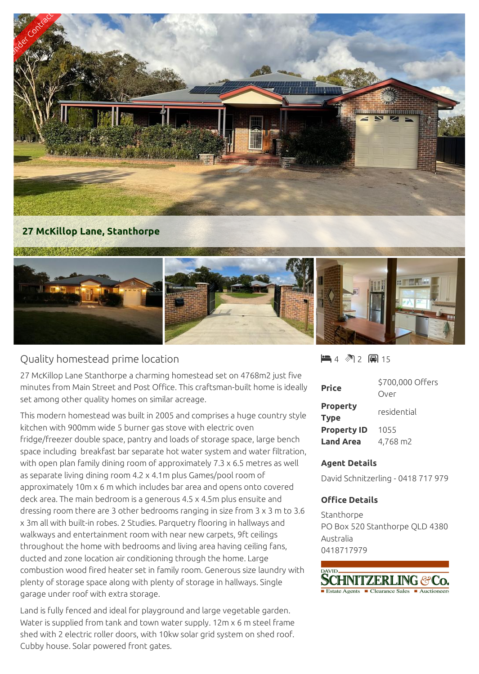

## Quality homestead prime location

27 McKillop Lane Stanthorpe a charming homestead set on 4768m2 just five minutes from Main Street and Post Office. This craftsman-built home is ideally set among other quality homes on similar acreage.

This modern homestead was built in 2005 and comprises a huge country style kitchen with 900mm wide 5 burner gas stove with electric oven fridge/freezer double space, pantry and loads of storage space, large bench space including breakfast bar separate hot water system and water filtration, with open plan family dining room of approximately 7.3 x 6.5 metres as well as separate living dining room 4.2 x 4.1m plus Games/pool room of approximately 10m x 6 m which includes bar area and opens onto covered deck area. The main bedroom is a generous 4.5 x 4.5m plus ensuite and dressing room there are 3 other bedrooms ranging in size from 3 x 3 m to 3.6 x 3m all with built-in robes. 2 Studies. Parquetry flooring in hallways and walkways and entertainment room with near new carpets, 9ft ceilings throughout the home with bedrooms and living area having ceiling fans, ducted and zone location air conditioning through the home. Large combustion wood fired heater set in family room. Generous size laundry with plenty of storage space along with plenty of storage in hallways. Single garage under roof with extra storage.

Land is fully fenced and ideal for playground and large vegetable garden. Water is supplied from tank and town water supply. 12m x 6 m steel frame shed with 2 electric roller doors, with 10kw solar grid system on shed roof. Cubby house. Solar powered front gates.

■ 4 图 2 圓 15

| <b>Price</b>                   | \$700,000 Offers<br>Over |
|--------------------------------|--------------------------|
| <b>Property</b><br><b>Type</b> | residential              |
| <b>Property ID</b>             | 1055                     |
| <b>Land Area</b>               | 4,768 m2                 |

## **Agent Details**

David Schnitzerling - 0418 717 979

## **Office Details**

Stanthorpe PO Box 520 Stanthorpe QLD 4380 Australia 0418717979